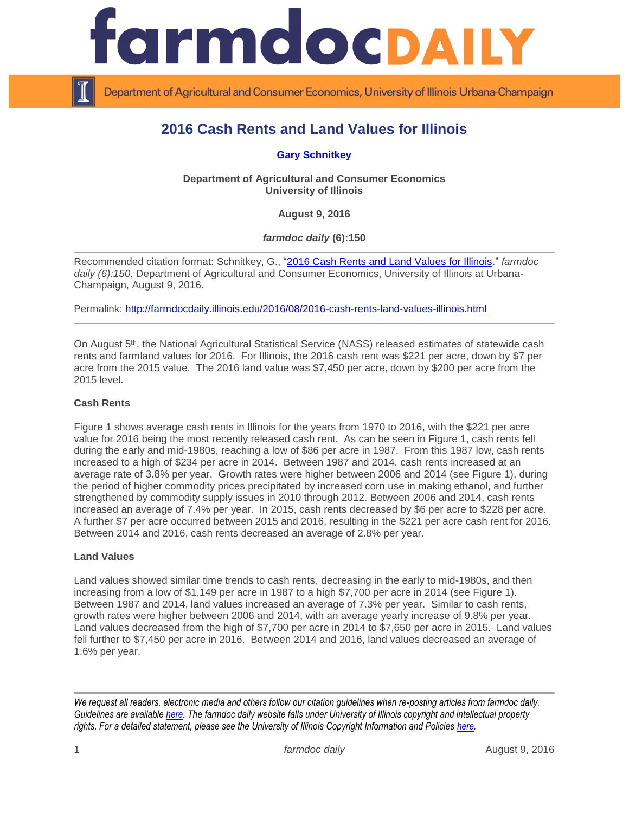

Department of Agricultural and Consumer Economics, University of Illinois Urbana-Champaign

# **2016 Cash Rents and Land Values for Illinois**

**[Gary Schnitkey](http://farmdoc.illinois.edu/schnitkey)**

**Department of Agricultural and Consumer Economics University of Illinois**

**August 9, 2016**

*farmdoc daily* **(6):150**

Recommended citation format: Schnitkey, G., ["2016 Cash Rents and Land Values for Illinois.](http://farmdocdaily.illinois.edu/2016/08/2016-cash-rents-land-values-illinois.html)" *farmdoc daily (6):150*, Department of Agricultural and Consumer Economics, University of Illinois at Urbana-Champaign, August 9, 2016.

Permalink: <http://farmdocdaily.illinois.edu/2016/08/2016-cash-rents-land-values-illinois.html>

On August 5<sup>th</sup>, the National Agricultural Statistical Service (NASS) released estimates of statewide cash rents and farmland values for 2016. For Illinois, the 2016 cash rent was \$221 per acre, down by \$7 per acre from the 2015 value. The 2016 land value was \$7,450 per acre, down by \$200 per acre from the 2015 level.

## **Cash Rents**

Figure 1 shows average cash rents in Illinois for the years from 1970 to 2016, with the \$221 per acre value for 2016 being the most recently released cash rent. As can be seen in Figure 1, cash rents fell during the early and mid-1980s, reaching a low of \$86 per acre in 1987. From this 1987 low, cash rents increased to a high of \$234 per acre in 2014. Between 1987 and 2014, cash rents increased at an average rate of 3.8% per year. Growth rates were higher between 2006 and 2014 (see Figure 1), during the period of higher commodity prices precipitated by increased corn use in making ethanol, and further strengthened by commodity supply issues in 2010 through 2012. Between 2006 and 2014, cash rents increased an average of 7.4% per year. In 2015, cash rents decreased by \$6 per acre to \$228 per acre. A further \$7 per acre occurred between 2015 and 2016, resulting in the \$221 per acre cash rent for 2016. Between 2014 and 2016, cash rents decreased an average of 2.8% per year.

#### **Land Values**

Land values showed similar time trends to cash rents, decreasing in the early to mid-1980s, and then increasing from a low of \$1,149 per acre in 1987 to a high \$7,700 per acre in 2014 (see Figure 1). Between 1987 and 2014, land values increased an average of 7.3% per year. Similar to cash rents, growth rates were higher between 2006 and 2014, with an average yearly increase of 9.8% per year. Land values decreased from the high of \$7,700 per acre in 2014 to \$7,650 per acre in 2015. Land values fell further to \$7,450 per acre in 2016. Between 2014 and 2016, land values decreased an average of 1.6% per year.

*We request all readers, electronic media and others follow our citation guidelines when re-posting articles from farmdoc daily. Guidelines are available [here.](http://farmdocdaily.illinois.edu/citationguide.html) The farmdoc daily website falls under University of Illinois copyright and intellectual property rights. For a detailed statement, please see the University of Illinois Copyright Information and Policies [here.](http://www.cio.illinois.edu/policies/copyright/)*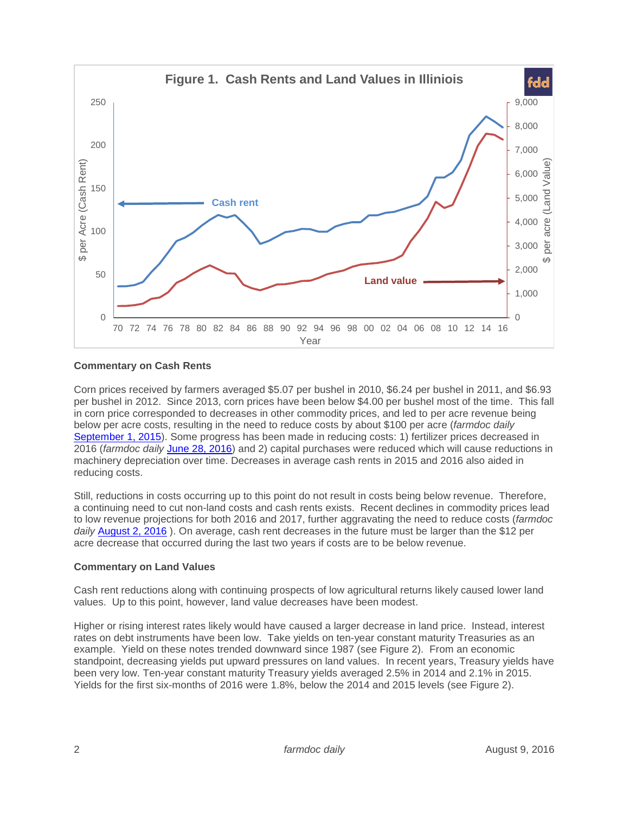

## **Commentary on Cash Rents**

Corn prices received by farmers averaged \$5.07 per bushel in 2010, \$6.24 per bushel in 2011, and \$6.93 per bushel in 2012. Since 2013, corn prices have been below \$4.00 per bushel most of the time. This fall in corn price corresponded to decreases in other commodity prices, and led to per acre revenue being below per acre costs, resulting in the need to reduce costs by about \$100 per acre (*farmdoc daily*  [September 1, 2015\)](http://farmdocdaily.illinois.edu/2015/09/cutting-100-per-acre-in-costs-corn-soybeans.html)). Some progress has been made in reducing costs: 1) fertilizer prices decreased in 2016 (*farmdoc daily* [June 28, 2016\)](http://farmdocdaily.illinois.edu/2016/06/release-of-revised-2016-illinois-crop-budgets.html) and 2) capital purchases were reduced which will cause reductions in machinery depreciation over time. Decreases in average cash rents in 2015 and 2016 also aided in reducing costs.

Still, reductions in costs occurring up to this point do not result in costs being below revenue. Therefore, a continuing need to cut non-land costs and cash rents exists. Recent declines in commodity prices lead to low revenue projections for both 2016 and 2017, further aggravating the need to reduce costs (*farmdoc daily* [August 2, 2016](http://farmdocdaily.illinois.edu/2016/08/corn-soybean-revenue-projections-2016-2017.html) ). On average, cash rent decreases in the future must be larger than the \$12 per acre decrease that occurred during the last two years if costs are to be below revenue.

#### **Commentary on Land Values**

Cash rent reductions along with continuing prospects of low agricultural returns likely caused lower land values. Up to this point, however, land value decreases have been modest.

Higher or rising interest rates likely would have caused a larger decrease in land price. Instead, interest rates on debt instruments have been low. Take yields on ten-year constant maturity Treasuries as an example. Yield on these notes trended downward since 1987 (see Figure 2). From an economic standpoint, decreasing yields put upward pressures on land values. In recent years, Treasury yields have been very low. Ten-year constant maturity Treasury yields averaged 2.5% in 2014 and 2.1% in 2015. Yields for the first six-months of 2016 were 1.8%, below the 2014 and 2015 levels (see Figure 2).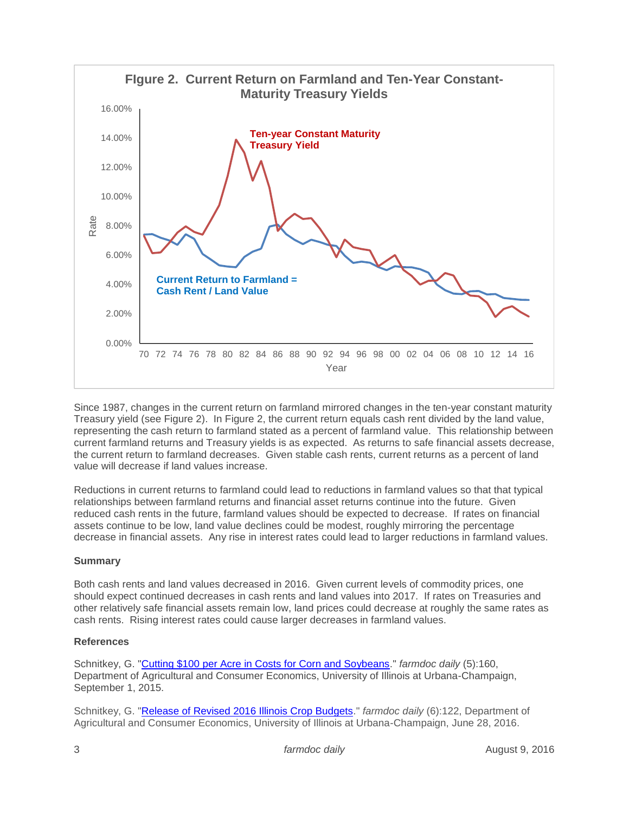

Since 1987, changes in the current return on farmland mirrored changes in the ten-year constant maturity Treasury yield (see Figure 2). In Figure 2, the current return equals cash rent divided by the land value, representing the cash return to farmland stated as a percent of farmland value. This relationship between current farmland returns and Treasury yields is as expected. As returns to safe financial assets decrease, the current return to farmland decreases. Given stable cash rents, current returns as a percent of land value will decrease if land values increase.

Reductions in current returns to farmland could lead to reductions in farmland values so that that typical relationships between farmland returns and financial asset returns continue into the future. Given reduced cash rents in the future, farmland values should be expected to decrease. If rates on financial assets continue to be low, land value declines could be modest, roughly mirroring the percentage decrease in financial assets. Any rise in interest rates could lead to larger reductions in farmland values.

# **Summary**

Both cash rents and land values decreased in 2016. Given current levels of commodity prices, one should expect continued decreases in cash rents and land values into 2017. If rates on Treasuries and other relatively safe financial assets remain low, land prices could decrease at roughly the same rates as cash rents. Rising interest rates could cause larger decreases in farmland values.

# **References**

Schnitkey, G. ["Cutting \\$100 per Acre in Costs for Corn and Soybeans.](http://farmdocdaily.illinois.edu/2015/09/cutting-100-per-acre-in-costs-corn-soybeans.html)" *farmdoc daily* (5):160, Department of Agricultural and Consumer Economics, University of Illinois at Urbana-Champaign, September 1, 2015.

Schnitkey, G. ["Release of Revised 2016 Illinois Crop Budgets.](http://farmdocdaily.illinois.edu/2016/06/release-of-revised-2016-illinois-crop-budgets.html)" *farmdoc daily* (6):122, Department of Agricultural and Consumer Economics, University of Illinois at Urbana-Champaign, June 28, 2016.